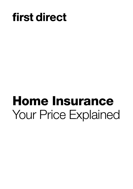## first direct

# Home Insurance Your Price Explained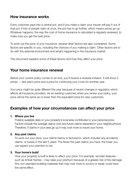## How insurance works

Every customer pays into a central pot, and if you make a claim your insurer will pay it out of that pot. If lots of people claim at once, the pot has to go further, which means prices go up. Whatever happens, the way the cost of home insurance is calculated is regularly reviewed, to make sure you get the best price.

To work out the price of your insurance, several other factors are also considered. Some factors are specific to you, including the chances of you making a claim. Other factors are to do with the external environment and what's happening in the insurance market.

This document explains some of these factors and how they affect your price.

### Your home insurance renewal

Before your current policy comes to an end, you'll receive a renewal invitaion. It will show 2 prices — last year's price and a price for continuing your cover for another year.

Your price might be quite different this year because of recent changes in regulation which affects all insurance providers. As an existing customer, when you renew your policy, your price will be the same as or lower than the equivalent price for new customers.

## Examples of how your circumstances can affect your price

#### 1. Where you live

 Publicly available data on your property's local area contributes to your personal price. Factors include the average claims cost and future claims expected in your neighbourhood. Therefore, if claims in your area go up it may cost more to insure your home.

#### 2. Any past claims

 To work out your price, your claims history is factored in, which includes any accidents, claims, or losses in the last 5 years. The fewer the past claims you have, the lower you can expect your premium to be.

#### 3. Your home's build

 How your property is built is likely to affect your price. For example, wooden features – such as timber frames – may raise your premium because of a greater risk of fire-damage. Any non-standard building materials that may cost more to source or repair could have the same effect.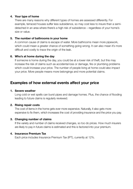#### 4. Your type of home

 There are many reasons why different types of homes are assessed differently. For example, terraced houses suffer less subsidence, so may cost less to insure than a semidetached in an area where there's a high risk of subsidence – regardless of your home's size or value.

#### 5. The number of bathrooms in your home

 A common cause of claims is escape of water. More bathrooms mean more pipework, which could mean a greater chance of something going wrong. It can also mean it's more difficult and costly to trace the origin of the leak.

#### 6. Who's at home during the day

 If someone is home during the day, you could be at a lower risk of theft, but this may increase the risk of claims such as accidental loss or damage, fire or plumbing problems which could increase your price. The number of people living at home could also impact your price. More people means more belongings and more potential claims.

## Examples of how external events affect your price

#### 1. Severe weather

 Long cold or wet spells can burst pipes and damage homes. Plus, the chance of flooding leading to future claims is regularly reviewed.

#### 2. Rising repair costs

 The cost of items in the home gets ever more expensive. Naturally, it also gets more expensive to fix them, which increases the cost of providing insurance and the price you pay.

#### 3. Changing number of claims

 If the variety and number of claims received changes, so too do prices. How much insurers are likely to pay in future claims is estimated and this is factored into your premium.

#### 4. Insurance Premium Tax

Each price includes Insurance Premium Tax (IPT), currently at 12%.